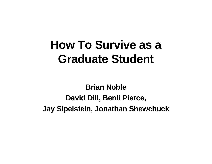## **How To Survive as a Graduate Student**

**Brian Noble David Dill, Benli Pierce, Jay Sipelstein, Jonathan Shewchuck**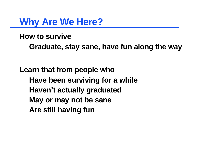**Why Are We Here?**

**How to survive**

**Graduate, stay sane, have fun along the way**

**Learn that from people who Have been surviving for a while Haven't actually graduated May or may not be sane Are still having fun**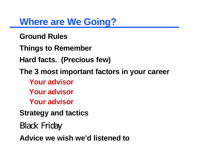## **Where are We Going?**

**Ground Rules**

**Things to Remember**

**Hard facts. (Precious few)**

**The 3 most important factors in your career**

**Your advisor**

**Your advisor**

**Your advisor**

**Strategy and tactics**

Black Friday

**Advice we wish we'd listened to**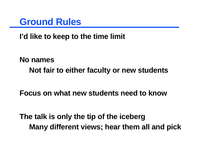

**I'd like to keep to the time limit**

**No names Not fair to either faculty or new students**

**Focus on what new students need to know**

**The talk is only the tip of the iceberg Many different views; hear them all and pick**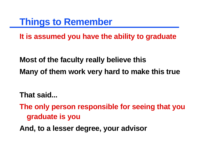**Things to Remember**

**It is assumed you have the ability to graduate**

**Most of the faculty really believe this Many of them work very hard to make this true**

**That said...**

**The only person responsible for seeing that you graduate is you**

**And, to a lesser degree, your advisor**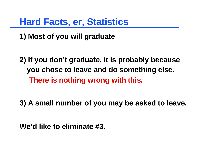## **Hard Facts, er, Statistics**

**1) Most of you will graduate**

**2) If you don't graduate, it is probably because you chose to leave and do something else. There is nothing wrong with this.**

**3) A small number of you may be asked to leave.**

**We'd like to eliminate #3.**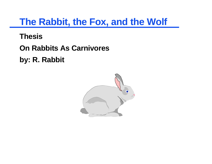## **The Rabbit, the Fox, and the Wolf**

**Thesis**

**On Rabbits As Carnivores**

**by: R. Rabbit**

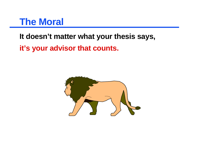#### **The Moral**

**It doesn't matter what your thesis says, it's your advisor that counts.**

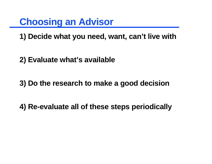**Choosing an Advisor**

**1) Decide what you need, want, can't live with**

**2) Evaluate what's available**

**3) Do the research to make a good decision**

**4) Re-evaluate all of these steps periodically**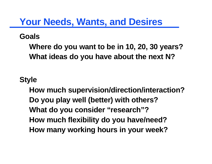## **Your Needs, Wants, and Desires**

#### **Goals**

**Where do you want to be in 10, 20, 30 years? What ideas do you have about the next N?**

#### **Style**

**How much supervision/direction/interaction? Do you play well (better) with others? What do you consider "research"? How much flexibility do you have/need? How many working hours in your week?**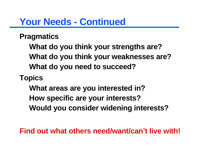### **Your Needs - Continued**

#### **Pragmatics**

**What do you think your strengths are? What do you think your weaknesses are? What do you need to succeed?**

#### **Topics**

**What areas are you interested in? How specific are your interests? Would you consider widening interests?**

**Find out what others need/want/can't live with!**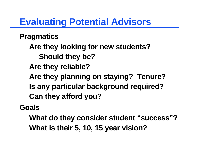## **Evaluating Potential Advisors**

**Pragmatics**

**Are they looking for new students?**

**Should they be?**

**Are they reliable?**

**Are they planning on staying? Tenure?**

**Is any particular background required?**

**Can they afford you?**

**Goals**

**What do they consider student "success"? What is their 5, 10, 15 year vision?**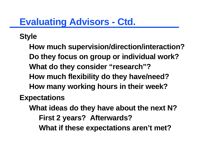## **Evaluating Advisors - Ctd.**

**Style**

**How much supervision/direction/interaction? Do they focus on group or individual work? What do they consider "research"? How much flexibility do they have/need? How many working hours in their week? Expectations**

**What ideas do they have about the next N? First 2 years? Afterwards? What if these expectations aren't met?**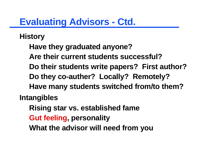## **Evaluating Advisors - Ctd.**

**History**

**Have they graduated anyone?**

**Are their current students successful?**

**Do their students write papers? First author?**

**Do they co-auther? Locally? Remotely?**

**Have many students switched from/to them?**

**Intangibles**

**Rising star vs. established fame**

**Gut feeling, personality**

**What the advisor will need from you**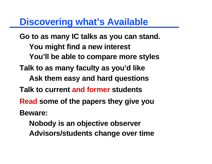#### **Discovering what's Available**

**Go to as many IC talks as you can stand. You might find a new interest You'll be able to compare more styles Talk to as many faculty as you'd like Ask them easy and hard questions Talk to current and former students Read some of the papers they give you Beware: Nobody is an objective observer**

**Advisors/students change over time**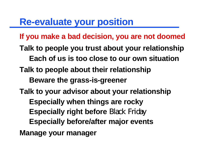## **Re-evaluate your position**

**If you make a bad decision, you are not doomed**

- **Talk to people you trust about your relationship**
	- **Each of us is too close to our own situation**
- **Talk to people about their relationship**
	- **Beware the grass-is-greener**
- **Talk to your advisor about your relationship**
	- **Especially when things are rocky**
	- **Especially right before** Black Friday
	- **Especially before/after major events**

**Manage your manager**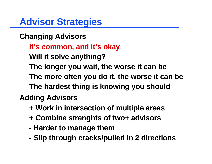**Advisor Strategies**

#### **Changing Advisors**

- **It's common, and it's okay**
- **Will it solve anything?**
- **The longer you wait, the worse it can be**
- **The more often you do it, the worse it can be The hardest thing is knowing you should**

#### **Adding Advisors**

- **+ Work in intersection of multiple areas**
- **+ Combine strenghts of two+ advisors**
- **Harder to manage them**
- **Slip through cracks/pulled in 2 directions**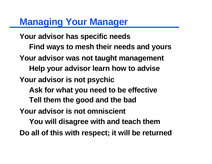## **Managing Your Manager**

**Your advisor has specific needs Find ways to mesh their needs and yours Your advisor was not taught management Help your advisor learn how to advise Your advisor is not psychic Ask for what you need to be effective Tell them the good and the bad Your advisor is not omniscient You will disagree with and teach them Do all of this with respect; it will be returned**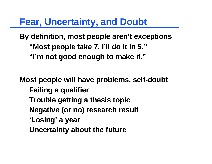**Fear, Uncertainty, and Doubt**

**By definition, most people aren't exceptions "Most people take 7, I'll do it in 5." "I'm not good enough to make it."**

**Most people will have problems, self-doubt Failing a qualifier Trouble getting a thesis topic Negative (or no) research result 'Losing' a year Uncertainty about the future**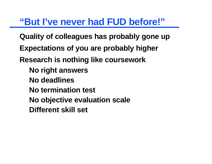## **"But I've never had FUD before!"**

**Quality of colleagues has probably gone up Expectations of you are probably higher Research is nothing like coursework No right answers No deadlines No termination test**

- **No objective evaluation scale**
- **Different skill set**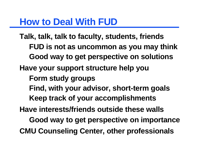#### **How to Deal With FUD**

**Talk, talk, talk to faculty, students, friends FUD is not as uncommon as you may think Good way to get perspective on solutions Have your support structure help you Form study groups Find, with your advisor, short-term goals Keep track of your accomplishments Have interests/friends outside these walls Good way to get perspective on importance CMU Counseling Center, other professionals**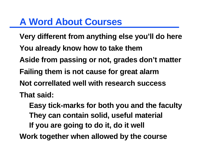## **A Word About Courses**

**Very different from anything else you'll do here**

- **You already know how to take them**
- **Aside from passing or not, grades don't matter**
- **Failing them is not cause for great alarm**
- **Not correllated well with research success**
- **That said:**
	- **Easy tick-marks for both you and the faculty They can contain solid, useful material If you are going to do it, do it well**
- **Work together when allowed by the course**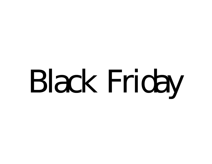# Black Friday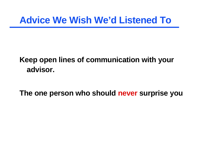#### **Keep open lines of communication with your advisor.**

**The one person who should never surprise you**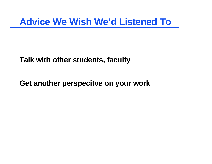**Talk with other students, faculty**

**Get another perspecitve on your work**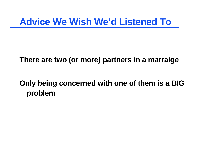#### **There are two (or more) partners in a marraige**

#### **Only being concerned with one of them is a BIG problem**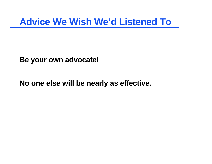**Be your own advocate!**

**No one else will be nearly as effective.**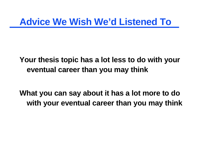#### **Your thesis topic has a lot less to do with your eventual career than you may think**

**What you can say about it has a lot more to do with your eventual career than you may think**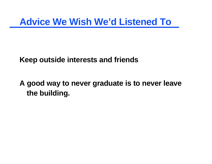**Keep outside interests and friends**

**A good way to never graduate is to never leave the building.**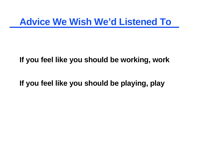#### **If you feel like you should be working, work**

**If you feel like you should be playing, play**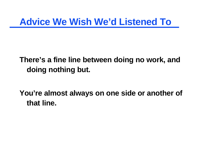#### **There's a fine line between doing no work, and doing nothing but.**

**You're almost always on one side or another of that line.**